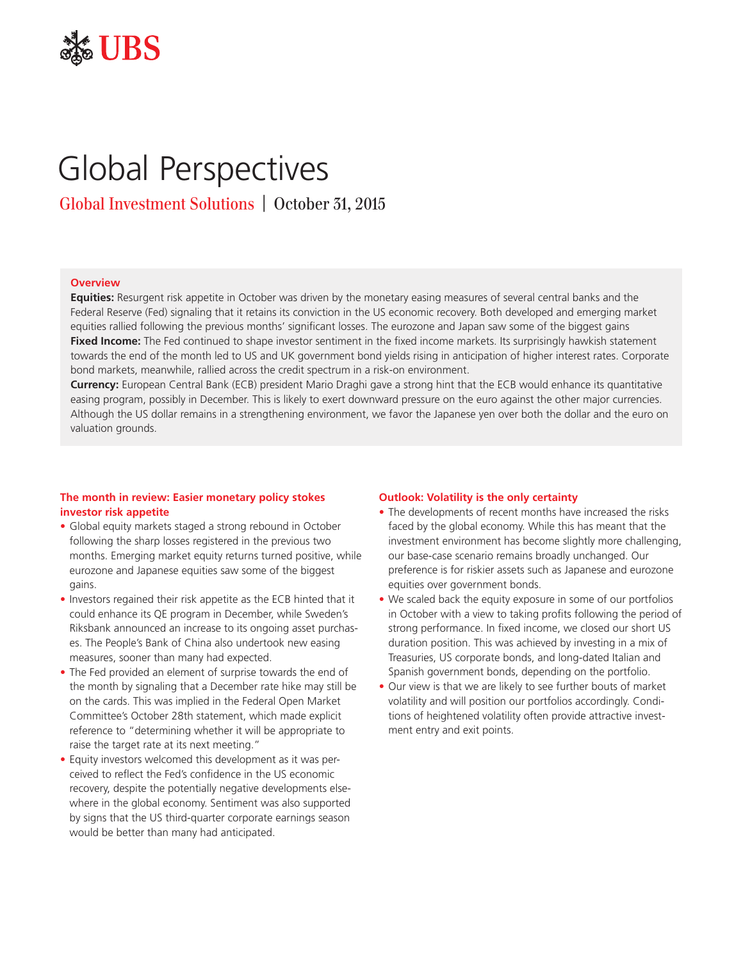

# Global Perspectives

Global Investment Solutions | October 31, 2015

## **Overview**

**Equities:** Resurgent risk appetite in October was driven by the monetary easing measures of several central banks and the Federal Reserve (Fed) signaling that it retains its conviction in the US economic recovery. Both developed and emerging market equities rallied following the previous months' significant losses. The eurozone and Japan saw some of the biggest gains **Fixed Income:** The Fed continued to shape investor sentiment in the fixed income markets. Its surprisingly hawkish statement towards the end of the month led to US and UK government bond yields rising in anticipation of higher interest rates. Corporate bond markets, meanwhile, rallied across the credit spectrum in a risk-on environment.

**Currency:** European Central Bank (ECB) president Mario Draghi gave a strong hint that the ECB would enhance its quantitative easing program, possibly in December. This is likely to exert downward pressure on the euro against the other major currencies. Although the US dollar remains in a strengthening environment, we favor the Japanese yen over both the dollar and the euro on valuation grounds.

## **The month in review: Easier monetary policy stokes investor risk appetite**

- Global equity markets staged a strong rebound in October following the sharp losses registered in the previous two months. Emerging market equity returns turned positive, while eurozone and Japanese equities saw some of the biggest gains.
- Investors regained their risk appetite as the ECB hinted that it could enhance its QE program in December, while Sweden's Riksbank announced an increase to its ongoing asset purchases. The People's Bank of China also undertook new easing measures, sooner than many had expected.
- The Fed provided an element of surprise towards the end of the month by signaling that a December rate hike may still be on the cards. This was implied in the Federal Open Market Committee's October 28th statement, which made explicit reference to "determining whether it will be appropriate to raise the target rate at its next meeting."
- Equity investors welcomed this development as it was perceived to reflect the Fed's confidence in the US economic recovery, despite the potentially negative developments elsewhere in the global economy. Sentiment was also supported by signs that the US third-quarter corporate earnings season would be better than many had anticipated.

#### **Outlook: Volatility is the only certainty**

- The developments of recent months have increased the risks faced by the global economy. While this has meant that the investment environment has become slightly more challenging, our base-case scenario remains broadly unchanged. Our preference is for riskier assets such as Japanese and eurozone equities over government bonds.
- We scaled back the equity exposure in some of our portfolios in October with a view to taking profits following the period of strong performance. In fixed income, we closed our short US duration position. This was achieved by investing in a mix of Treasuries, US corporate bonds, and long-dated Italian and Spanish government bonds, depending on the portfolio.
- Our view is that we are likely to see further bouts of market volatility and will position our portfolios accordingly. Conditions of heightened volatility often provide attractive investment entry and exit points.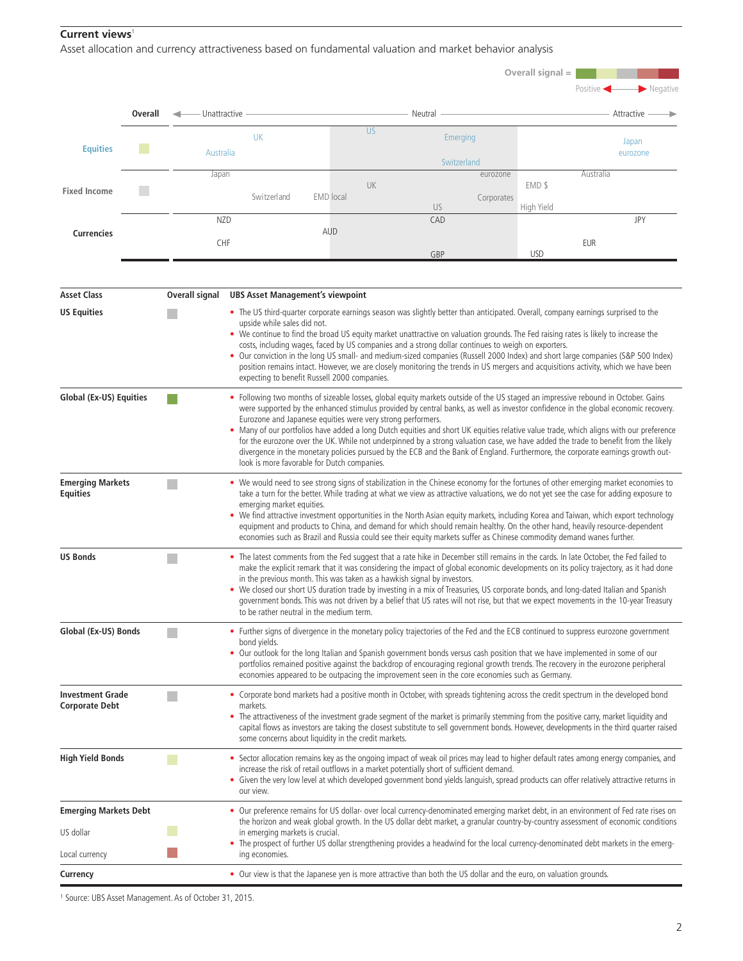# **Current views**<sup>1</sup>

Asset allocation and currency attractiveness based on fundamental valuation and market behavior analysis

|                                            |         |                                                                                                                                                                                                                                                                                                                                                                                                                                                                                                                                                                                                                                                                                                                                                                                                          |                                                                                                                                                                                                                                                                                                                                                                                                                                                                                                                                                                                                                                                                                     |                                                      |                                                                                                                                                                                                                                                                                                                                                                                                                                                                                                                                                                                                                                                                           | Overall signal =        |                                                                                                                                                                                                                                                                                    |                                                                                                                                                                                                                                                                                                                                                                                                                          |  |
|--------------------------------------------|---------|----------------------------------------------------------------------------------------------------------------------------------------------------------------------------------------------------------------------------------------------------------------------------------------------------------------------------------------------------------------------------------------------------------------------------------------------------------------------------------------------------------------------------------------------------------------------------------------------------------------------------------------------------------------------------------------------------------------------------------------------------------------------------------------------------------|-------------------------------------------------------------------------------------------------------------------------------------------------------------------------------------------------------------------------------------------------------------------------------------------------------------------------------------------------------------------------------------------------------------------------------------------------------------------------------------------------------------------------------------------------------------------------------------------------------------------------------------------------------------------------------------|------------------------------------------------------|---------------------------------------------------------------------------------------------------------------------------------------------------------------------------------------------------------------------------------------------------------------------------------------------------------------------------------------------------------------------------------------------------------------------------------------------------------------------------------------------------------------------------------------------------------------------------------------------------------------------------------------------------------------------------|-------------------------|------------------------------------------------------------------------------------------------------------------------------------------------------------------------------------------------------------------------------------------------------------------------------------|--------------------------------------------------------------------------------------------------------------------------------------------------------------------------------------------------------------------------------------------------------------------------------------------------------------------------------------------------------------------------------------------------------------------------|--|
|                                            | Overall | - Unattractive                                                                                                                                                                                                                                                                                                                                                                                                                                                                                                                                                                                                                                                                                                                                                                                           |                                                                                                                                                                                                                                                                                                                                                                                                                                                                                                                                                                                                                                                                                     |                                                      | Neutral                                                                                                                                                                                                                                                                                                                                                                                                                                                                                                                                                                                                                                                                   | Positive ·              | $\blacktriangleright$ Negative<br>Attractive                                                                                                                                                                                                                                       |                                                                                                                                                                                                                                                                                                                                                                                                                          |  |
|                                            |         |                                                                                                                                                                                                                                                                                                                                                                                                                                                                                                                                                                                                                                                                                                                                                                                                          |                                                                                                                                                                                                                                                                                                                                                                                                                                                                                                                                                                                                                                                                                     | <b>US</b>                                            |                                                                                                                                                                                                                                                                                                                                                                                                                                                                                                                                                                                                                                                                           |                         |                                                                                                                                                                                                                                                                                    |                                                                                                                                                                                                                                                                                                                                                                                                                          |  |
| <b>Equities</b>                            |         |                                                                                                                                                                                                                                                                                                                                                                                                                                                                                                                                                                                                                                                                                                                                                                                                          | <b>UK</b><br>Australia                                                                                                                                                                                                                                                                                                                                                                                                                                                                                                                                                                                                                                                              |                                                      |                                                                                                                                                                                                                                                                                                                                                                                                                                                                                                                                                                                                                                                                           | Emerging<br>Switzerland | Japan<br>eurozone                                                                                                                                                                                                                                                                  |                                                                                                                                                                                                                                                                                                                                                                                                                          |  |
|                                            |         | Japan                                                                                                                                                                                                                                                                                                                                                                                                                                                                                                                                                                                                                                                                                                                                                                                                    |                                                                                                                                                                                                                                                                                                                                                                                                                                                                                                                                                                                                                                                                                     |                                                      |                                                                                                                                                                                                                                                                                                                                                                                                                                                                                                                                                                                                                                                                           | eurozone                | Australia                                                                                                                                                                                                                                                                          |                                                                                                                                                                                                                                                                                                                                                                                                                          |  |
| <b>Fixed Income</b>                        |         |                                                                                                                                                                                                                                                                                                                                                                                                                                                                                                                                                                                                                                                                                                                                                                                                          | Switzerland                                                                                                                                                                                                                                                                                                                                                                                                                                                                                                                                                                                                                                                                         | UK<br><b>EMD</b> local                               |                                                                                                                                                                                                                                                                                                                                                                                                                                                                                                                                                                                                                                                                           | Corporates<br>US        | EMD \$<br>High Yield                                                                                                                                                                                                                                                               |                                                                                                                                                                                                                                                                                                                                                                                                                          |  |
|                                            |         | <b>NZD</b>                                                                                                                                                                                                                                                                                                                                                                                                                                                                                                                                                                                                                                                                                                                                                                                               |                                                                                                                                                                                                                                                                                                                                                                                                                                                                                                                                                                                                                                                                                     |                                                      |                                                                                                                                                                                                                                                                                                                                                                                                                                                                                                                                                                                                                                                                           | CAD                     | JPY                                                                                                                                                                                                                                                                                |                                                                                                                                                                                                                                                                                                                                                                                                                          |  |
| <b>Currencies</b>                          |         | <b>CHF</b>                                                                                                                                                                                                                                                                                                                                                                                                                                                                                                                                                                                                                                                                                                                                                                                               |                                                                                                                                                                                                                                                                                                                                                                                                                                                                                                                                                                                                                                                                                     | <b>AUD</b>                                           |                                                                                                                                                                                                                                                                                                                                                                                                                                                                                                                                                                                                                                                                           |                         | <b>EUR</b>                                                                                                                                                                                                                                                                         |                                                                                                                                                                                                                                                                                                                                                                                                                          |  |
|                                            |         |                                                                                                                                                                                                                                                                                                                                                                                                                                                                                                                                                                                                                                                                                                                                                                                                          |                                                                                                                                                                                                                                                                                                                                                                                                                                                                                                                                                                                                                                                                                     |                                                      |                                                                                                                                                                                                                                                                                                                                                                                                                                                                                                                                                                                                                                                                           | GBP                     | <b>USD</b>                                                                                                                                                                                                                                                                         |                                                                                                                                                                                                                                                                                                                                                                                                                          |  |
| <b>Asset Class</b>                         |         | Overall signal                                                                                                                                                                                                                                                                                                                                                                                                                                                                                                                                                                                                                                                                                                                                                                                           |                                                                                                                                                                                                                                                                                                                                                                                                                                                                                                                                                                                                                                                                                     | <b>UBS Asset Management's viewpoint</b>              |                                                                                                                                                                                                                                                                                                                                                                                                                                                                                                                                                                                                                                                                           |                         |                                                                                                                                                                                                                                                                                    |                                                                                                                                                                                                                                                                                                                                                                                                                          |  |
| <b>US Equities</b>                         |         | • The US third-quarter corporate earnings season was slightly better than anticipated. Overall, company earnings surprised to the<br>upside while sales did not.<br>. We continue to find the broad US equity market unattractive on valuation grounds. The Fed raising rates is likely to increase the<br>costs, including wages, faced by US companies and a strong dollar continues to weigh on exporters.<br>• Our conviction in the long US small- and medium-sized companies (Russell 2000 Index) and short large companies (S&P 500 Index)<br>position remains intact. However, we are closely monitoring the trends in US mergers and acquisitions activity, which we have been<br>expecting to benefit Russell 2000 companies.                                                                  |                                                                                                                                                                                                                                                                                                                                                                                                                                                                                                                                                                                                                                                                                     |                                                      |                                                                                                                                                                                                                                                                                                                                                                                                                                                                                                                                                                                                                                                                           |                         |                                                                                                                                                                                                                                                                                    |                                                                                                                                                                                                                                                                                                                                                                                                                          |  |
| <b>Global (Ex-US) Equities</b>             |         | • Following two months of sizeable losses, global equity markets outside of the US staged an impressive rebound in October. Gains<br>were supported by the enhanced stimulus provided by central banks, as well as investor confidence in the global economic recovery.<br>Eurozone and Japanese equities were very strong performers.<br>. Many of our portfolios have added a long Dutch equities and short UK equities relative value trade, which aligns with our preference<br>for the eurozone over the UK. While not underpinned by a strong valuation case, we have added the trade to benefit from the likely<br>divergence in the monetary policies pursued by the ECB and the Bank of England. Furthermore, the corporate earnings growth out-<br>look is more favorable for Dutch companies. |                                                                                                                                                                                                                                                                                                                                                                                                                                                                                                                                                                                                                                                                                     |                                                      |                                                                                                                                                                                                                                                                                                                                                                                                                                                                                                                                                                                                                                                                           |                         |                                                                                                                                                                                                                                                                                    |                                                                                                                                                                                                                                                                                                                                                                                                                          |  |
| <b>Emerging Markets</b><br><b>Equities</b> |         |                                                                                                                                                                                                                                                                                                                                                                                                                                                                                                                                                                                                                                                                                                                                                                                                          | emerging market equities.                                                                                                                                                                                                                                                                                                                                                                                                                                                                                                                                                                                                                                                           |                                                      | • We would need to see strong signs of stabilization in the Chinese economy for the fortunes of other emerging market economies to<br>take a turn for the better. While trading at what we view as attractive valuations, we do not yet see the case for adding exposure to<br>• We find attractive investment opportunities in the North Asian equity markets, including Korea and Taiwan, which export technology<br>equipment and products to China, and demand for which should remain healthy. On the other hand, heavily resource-dependent<br>economies such as Brazil and Russia could see their equity markets suffer as Chinese commodity demand wanes further. |                         |                                                                                                                                                                                                                                                                                    |                                                                                                                                                                                                                                                                                                                                                                                                                          |  |
| <b>US Bonds</b>                            |         |                                                                                                                                                                                                                                                                                                                                                                                                                                                                                                                                                                                                                                                                                                                                                                                                          | • The latest comments from the Fed suggest that a rate hike in December still remains in the cards. In late October, the Fed failed to<br>make the explicit remark that it was considering the impact of global economic developments on its policy trajectory, as it had done<br>in the previous month. This was taken as a hawkish signal by investors.<br>• We closed our short US duration trade by investing in a mix of Treasuries, US corporate bonds, and long-dated Italian and Spanish<br>government bonds. This was not driven by a belief that US rates will not rise, but that we expect movements in the 10-year Treasury<br>to be rather neutral in the medium term. |                                                      |                                                                                                                                                                                                                                                                                                                                                                                                                                                                                                                                                                                                                                                                           |                         |                                                                                                                                                                                                                                                                                    |                                                                                                                                                                                                                                                                                                                                                                                                                          |  |
| Global (Ex-US) Bonds                       |         |                                                                                                                                                                                                                                                                                                                                                                                                                                                                                                                                                                                                                                                                                                                                                                                                          | • Further signs of divergence in the monetary policy trajectories of the Fed and the ECB continued to suppress eurozone government<br>bond yields.<br>• Our outlook for the long Italian and Spanish government bonds versus cash position that we have implemented in some of our<br>portfolios remained positive against the backdrop of encouraging regional growth trends. The recovery in the eurozone peripheral<br>economies appeared to be outpacing the improvement seen in the core economies such as Germany.                                                                                                                                                            |                                                      |                                                                                                                                                                                                                                                                                                                                                                                                                                                                                                                                                                                                                                                                           |                         |                                                                                                                                                                                                                                                                                    |                                                                                                                                                                                                                                                                                                                                                                                                                          |  |
| <b>Investment Grade</b><br>Corporate Debt  |         |                                                                                                                                                                                                                                                                                                                                                                                                                                                                                                                                                                                                                                                                                                                                                                                                          | markets.                                                                                                                                                                                                                                                                                                                                                                                                                                                                                                                                                                                                                                                                            | some concerns about liquidity in the credit markets. |                                                                                                                                                                                                                                                                                                                                                                                                                                                                                                                                                                                                                                                                           |                         |                                                                                                                                                                                                                                                                                    | • Corporate bond markets had a positive month in October, with spreads tightening across the credit spectrum in the developed bond<br>• The attractiveness of the investment grade segment of the market is primarily stemming from the positive carry, market liquidity and<br>capital flows as investors are taking the closest substitute to sell government bonds. However, developments in the third quarter raised |  |
| <b>High Yield Bonds</b>                    |         | increase the risk of retail outflows in a market potentially short of sufficient demand.<br>our view.                                                                                                                                                                                                                                                                                                                                                                                                                                                                                                                                                                                                                                                                                                    |                                                                                                                                                                                                                                                                                                                                                                                                                                                                                                                                                                                                                                                                                     |                                                      |                                                                                                                                                                                                                                                                                                                                                                                                                                                                                                                                                                                                                                                                           |                         | • Sector allocation remains key as the ongoing impact of weak oil prices may lead to higher default rates among energy companies, and<br>• Given the very low level at which developed government bond yields languish, spread products can offer relatively attractive returns in |                                                                                                                                                                                                                                                                                                                                                                                                                          |  |
| Emerging Markets Debt                      |         |                                                                                                                                                                                                                                                                                                                                                                                                                                                                                                                                                                                                                                                                                                                                                                                                          |                                                                                                                                                                                                                                                                                                                                                                                                                                                                                                                                                                                                                                                                                     |                                                      |                                                                                                                                                                                                                                                                                                                                                                                                                                                                                                                                                                                                                                                                           |                         | • Our preference remains for US dollar- over local currency-denominated emerging market debt, in an environment of Fed rate rises on                                                                                                                                               |                                                                                                                                                                                                                                                                                                                                                                                                                          |  |
| US dollar                                  |         | in emerging markets is crucial.<br>ing economies.                                                                                                                                                                                                                                                                                                                                                                                                                                                                                                                                                                                                                                                                                                                                                        |                                                                                                                                                                                                                                                                                                                                                                                                                                                                                                                                                                                                                                                                                     |                                                      | the horizon and weak global growth. In the US dollar debt market, a granular country-by-country assessment of economic conditions                                                                                                                                                                                                                                                                                                                                                                                                                                                                                                                                         |                         |                                                                                                                                                                                                                                                                                    |                                                                                                                                                                                                                                                                                                                                                                                                                          |  |
| Local currency                             |         |                                                                                                                                                                                                                                                                                                                                                                                                                                                                                                                                                                                                                                                                                                                                                                                                          |                                                                                                                                                                                                                                                                                                                                                                                                                                                                                                                                                                                                                                                                                     |                                                      |                                                                                                                                                                                                                                                                                                                                                                                                                                                                                                                                                                                                                                                                           |                         | • The prospect of further US dollar strengthening provides a headwind for the local currency-denominated debt markets in the emerg-                                                                                                                                                |                                                                                                                                                                                                                                                                                                                                                                                                                          |  |
| Currency                                   |         |                                                                                                                                                                                                                                                                                                                                                                                                                                                                                                                                                                                                                                                                                                                                                                                                          |                                                                                                                                                                                                                                                                                                                                                                                                                                                                                                                                                                                                                                                                                     |                                                      |                                                                                                                                                                                                                                                                                                                                                                                                                                                                                                                                                                                                                                                                           |                         | • Our view is that the Japanese yen is more attractive than both the US dollar and the euro, on valuation grounds.                                                                                                                                                                 |                                                                                                                                                                                                                                                                                                                                                                                                                          |  |
|                                            |         |                                                                                                                                                                                                                                                                                                                                                                                                                                                                                                                                                                                                                                                                                                                                                                                                          |                                                                                                                                                                                                                                                                                                                                                                                                                                                                                                                                                                                                                                                                                     |                                                      |                                                                                                                                                                                                                                                                                                                                                                                                                                                                                                                                                                                                                                                                           |                         |                                                                                                                                                                                                                                                                                    |                                                                                                                                                                                                                                                                                                                                                                                                                          |  |

<sup>1</sup> Source: UBS Asset Management. As of October 31, 2015.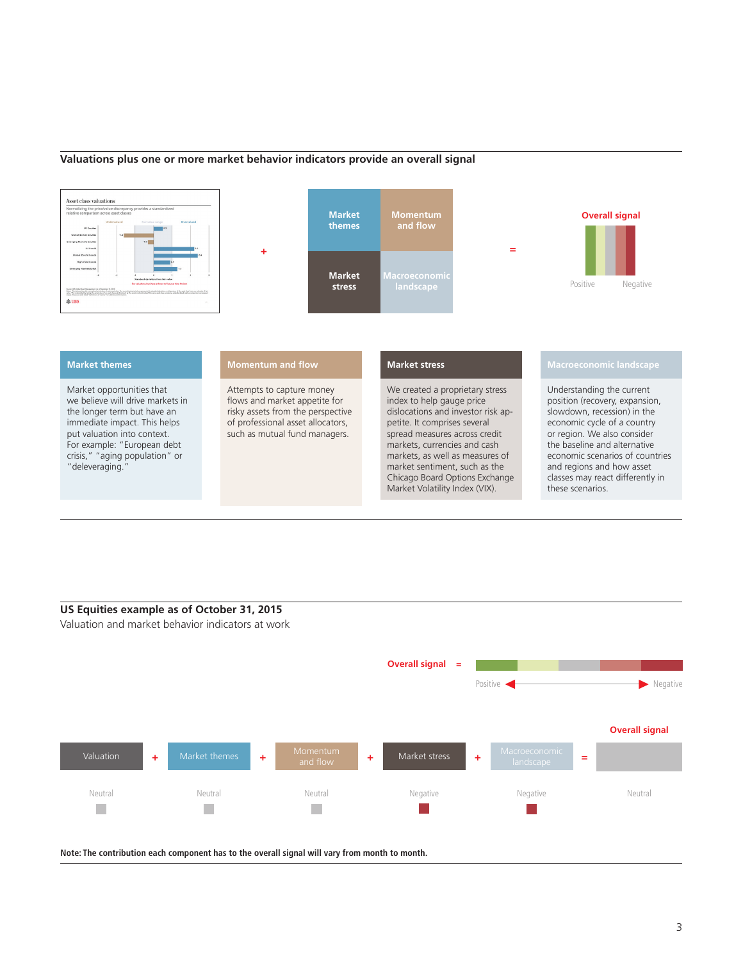## **Valuations plus one or more market behavior indicators provide an overall signal**



## **US Equities example as of October 31, 2015**

Valuation and market behavior indicators at work



**Note: The contribution each component has to the overall signal will vary from month to month.**